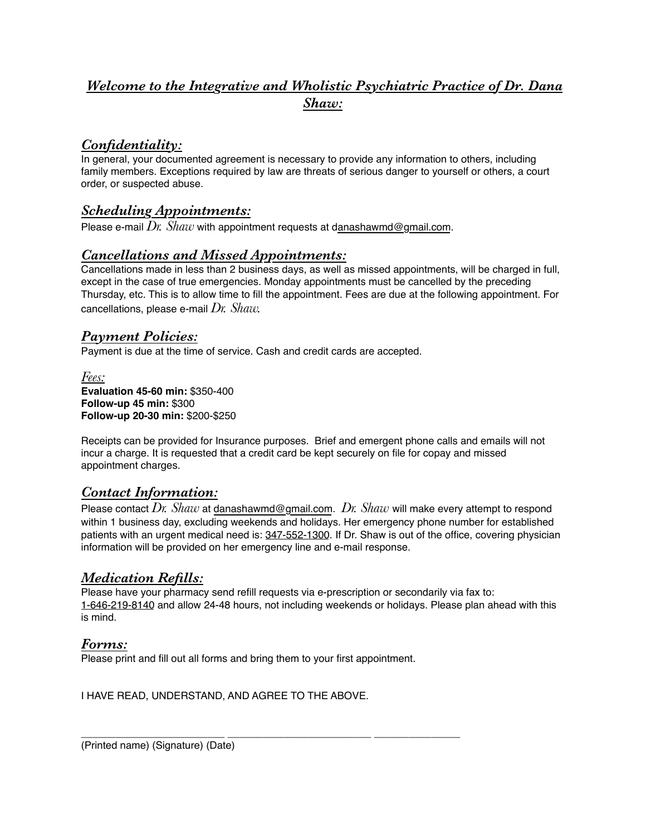### *Welcome to the Integrative and Wholistic Psychiatric Practice of Dr. Dana Shaw:*

### *Confidentiality:*

In general, your documented agreement is necessary to provide any information to others, including family members. Exceptions required by law are threats of serious danger to yourself or others, a court order, or suspected abuse.

### *Scheduling Appointments:*

Please e-mail  $Dr.$  *Shaw* with appointment requests at danashawmd@gmail.com.

#### *Cancellations and Missed Appointments:*

Cancellations made in less than 2 business days, as well as missed appointments, will be charged in full, except in the case of true emergencies. Monday appointments must be cancelled by the preceding Thursday, etc. This is to allow time to fill the appointment. Fees are due at the following appointment. For cancellations, please e-mail *Dr. Shaw.*

#### *Payment Policies:*

Payment is due at the time of service. Cash and credit cards are accepted.

*Fees:* **Evaluation 45-60 min:** \$350-400 **Follow-up 45 min:** \$300 **Follow-up 20-30 min:** \$200-\$250

Receipts can be provided for Insurance purposes. Brief and emergent phone calls and emails will not incur a charge. It is requested that a credit card be kept securely on file for copay and missed appointment charges.

#### *Contact Information:*

Please contact *Dr. Shaw* at danashawmd@gmail.com. *Dr. Shaw* will make every attempt to respond within 1 business day, excluding weekends and holidays. Her emergency phone number for established patients with an urgent medical need is: 347-552-1300. If Dr. Shaw is out of the office, covering physician information will be provided on her emergency line and e-mail response.

#### *Medication Refills:*

Please have your pharmacy send refill requests via e-prescription or secondarily via fax to: 1-646-219-8140 and allow 24-48 hours, not including weekends or holidays. Please plan ahead with this is mind.

#### *Forms:*

Please print and fill out all forms and bring them to your first appointment.

I HAVE READ, UNDERSTAND, AND AGREE TO THE ABOVE.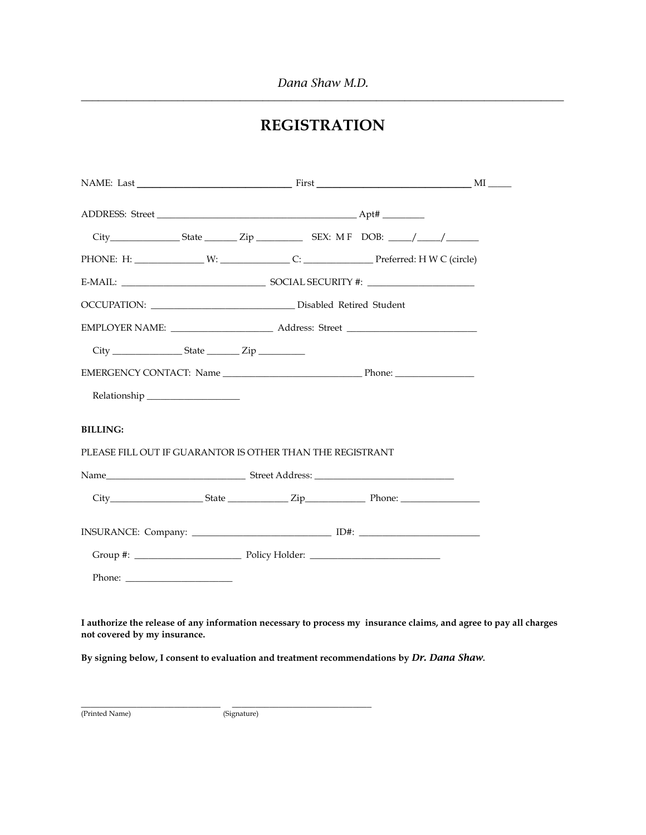*Dana Shaw M.D.* **\_\_\_\_\_\_\_\_\_\_\_\_\_\_\_\_\_\_\_\_\_\_\_\_\_\_\_\_\_\_\_\_\_\_\_\_\_\_\_\_\_\_\_\_\_\_\_\_\_\_\_\_\_\_\_\_\_\_\_\_\_\_\_\_\_\_\_\_\_\_\_\_\_\_\_\_\_\_\_\_\_\_\_\_\_**

## **REGISTRATION**

| E-MAIL: $\qquad \qquad \qquad \qquad \qquad \qquad \qquad$ SOCIAL SECURITY #: $\qquad \qquad \qquad \qquad \qquad$                                                                                                                                                                                                                                                                                           |  |  |  |                                                                                                                   |
|--------------------------------------------------------------------------------------------------------------------------------------------------------------------------------------------------------------------------------------------------------------------------------------------------------------------------------------------------------------------------------------------------------------|--|--|--|-------------------------------------------------------------------------------------------------------------------|
|                                                                                                                                                                                                                                                                                                                                                                                                              |  |  |  |                                                                                                                   |
|                                                                                                                                                                                                                                                                                                                                                                                                              |  |  |  |                                                                                                                   |
|                                                                                                                                                                                                                                                                                                                                                                                                              |  |  |  |                                                                                                                   |
|                                                                                                                                                                                                                                                                                                                                                                                                              |  |  |  |                                                                                                                   |
|                                                                                                                                                                                                                                                                                                                                                                                                              |  |  |  |                                                                                                                   |
| <b>BILLING:</b><br>PLEASE FILL OUT IF GUARANTOR IS OTHER THAN THE REGISTRANT                                                                                                                                                                                                                                                                                                                                 |  |  |  |                                                                                                                   |
|                                                                                                                                                                                                                                                                                                                                                                                                              |  |  |  |                                                                                                                   |
|                                                                                                                                                                                                                                                                                                                                                                                                              |  |  |  |                                                                                                                   |
|                                                                                                                                                                                                                                                                                                                                                                                                              |  |  |  |                                                                                                                   |
|                                                                                                                                                                                                                                                                                                                                                                                                              |  |  |  |                                                                                                                   |
| Phone: $\frac{1}{\sqrt{1-\frac{1}{2}}\sqrt{1-\frac{1}{2}}\sqrt{1-\frac{1}{2}}\sqrt{1-\frac{1}{2}}\sqrt{1-\frac{1}{2}}\sqrt{1-\frac{1}{2}}\sqrt{1-\frac{1}{2}}\sqrt{1-\frac{1}{2}}\sqrt{1-\frac{1}{2}}\sqrt{1-\frac{1}{2}}\sqrt{1-\frac{1}{2}}\sqrt{1-\frac{1}{2}}\sqrt{1-\frac{1}{2}}\sqrt{1-\frac{1}{2}}\sqrt{1-\frac{1}{2}}\sqrt{1-\frac{1}{2}}\sqrt{1-\frac{1}{2}}\sqrt{1-\frac{1}{2}}\sqrt{1-\frac{1}{2$ |  |  |  |                                                                                                                   |
| not covered by my insurance.                                                                                                                                                                                                                                                                                                                                                                                 |  |  |  | I authorize the release of any information necessary to process my insurance claims, and agree to pay all charges |
| By signing below, I consent to evaluation and treatment recommendations by Dr. Dana Shaw.                                                                                                                                                                                                                                                                                                                    |  |  |  |                                                                                                                   |

(Printed Name) (Signature)

\_\_\_\_\_\_\_\_\_\_\_\_\_\_\_\_\_\_\_\_\_\_\_\_\_\_\_\_\_\_ \_\_\_\_\_\_\_\_\_\_\_\_\_\_\_\_\_\_\_\_\_\_\_\_\_\_\_\_\_\_